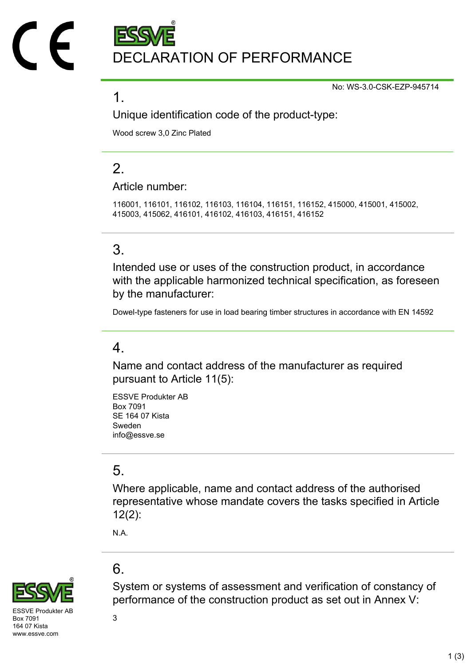DECLARATION OF PERFORMANCE

No: WS-3.0-CSK-EZP-945714

### 1.

Unique identification code of the product-type:

Wood screw 3,0 Zinc Plated

# $\mathcal{P}$

Article number:

116001, 116101, 116102, 116103, 116104, 116151, 116152, 415000, 415001, 415002, 415003, 415062, 416101, 416102, 416103, 416151, 416152

## 3.

Intended use or uses of the construction product, in accordance with the applicable harmonized technical specification, as foreseen by the manufacturer:

Dowel-type fasteners for use in load bearing timber structures in accordance with EN 14592

#### 4.

Name and contact address of the manufacturer as required pursuant to Article 11(5):

ESSVE Produkter AB Box 7091 SE 164 07 Kista Sweden info@essve.se

## 5.

Where applicable, name and contact address of the authorised representative whose mandate covers the tasks specified in Article 12(2):

System or systems of assessment and verification of constancy of

N.A.

## 6.



SVE Produkter AF Box 7091 164 07 Kista www.essve.com

performance of the construction product as set out in Annex V: 3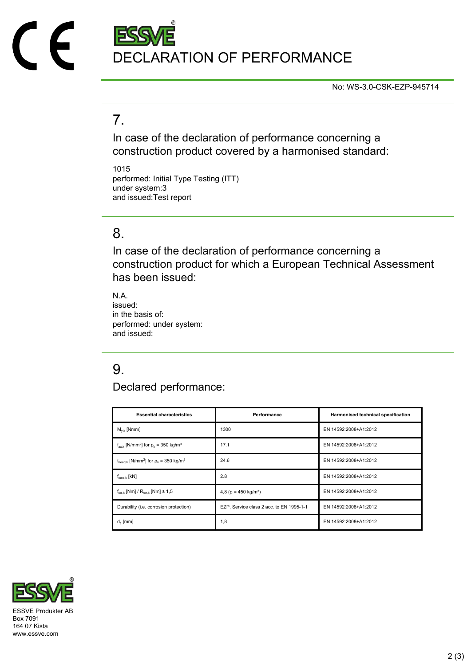

No: WS-3.0-CSK-EZP-945714

## 7.

In case of the declaration of performance concerning a construction product covered by a harmonised standard:

1015 performed: Initial Type Testing (ITT) under system:3 and issued:Test report

### 8.

In case of the declaration of performance concerning a construction product for which a European Technical Assessment has been issued:

N.A. issued: in the basis of: performed: under system: and issued:

# 9.

Declared performance:

| <b>Essential characteristics</b>                                              | Performance                              | Harmonised technical specification |
|-------------------------------------------------------------------------------|------------------------------------------|------------------------------------|
| $M_{v k}$ [Nmm]                                                               | 1300                                     | EN 14592:2008+A1:2012              |
| $f_{axk}$ [N/mm <sup>2</sup> ] for $\rho_k$ = 350 kg/m <sup>3</sup>           | 17.1                                     | EN 14592:2008+A1:2012              |
| $f_{\text{head},k}$ [N/mm <sup>2</sup> ] for $\rho_k$ = 350 kg/m <sup>3</sup> | 24.6                                     | EN 14592:2008+A1:2012              |
| $f_{tens.k}$ [kN]                                                             | 2.8                                      | EN 14592:2008+A1:2012              |
| $f_{\text{tor }k}$ [Nm] / $R_{\text{tor }k}$ [Nm] $\geq 1.5$                  | 4,8 ( $\rho$ = 450 kg/m <sup>3</sup> )   | EN 14592:2008+A1:2012              |
| Durability (i.e. corrosion protection)                                        | EZP, Service class 2 acc. to EN 1995-1-1 | EN 14592:2008+A1:2012              |
| $d_1$ [mm]                                                                    | 1,8                                      | EN 14592:2008+A1:2012              |



Box 7091 164 07 Kista www.essve.com